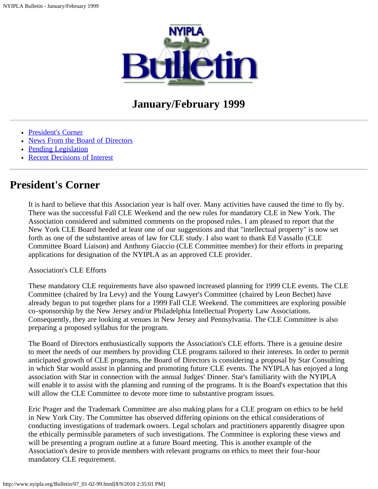

# **January/February 1999**

- [President's Corner](#page-0-0)
- [News From the Board of Directors](#page-1-0)
- [Pending Legislation](#page-4-0)
- [Recent Decisions of Interest](#page-7-0)

## <span id="page-0-0"></span>**President's Corner**

It is hard to believe that this Association year is half over. Many activities have caused the time to fly by. There was the successful Fall CLE Weekend and the new rules for mandatory CLE in New York. The Association considered and submitted comments on the proposed rules. I am pleased to report that the New York CLE Board heeded at least one of our suggestions and that "intellectual property" is now set forth as one of the substantive areas of law for CLE study. I also want to thank Ed Vassallo (CLE Committee Board Liaison) and Anthony Giaccio (CLE Committee member) for their efforts in preparing applications for designation of the NYIPLA as an approved CLE provider.

#### Association's CLE Efforts

These mandatory CLE requirements have also spawned increased planning for 1999 CLE events. The CLE Committee (chaired by Ira Levy) and the Young Lawyer's Committee (chaired by Leon Bechet) have already begun to put together plans for a 1999 Fall CLE Weekend. The committees are exploring possible co-sponsorship by the New Jersey and/or Philadelphia Intellectual Property Law Associations. Consequently, they are looking at venues in New Jersey and Pennsylvania. The CLE Committee is also preparing a proposed syllabus for the program.

The Board of Directors enthusiastically supports the Association's CLE efforts. There is a genuine desire to meet the needs of our members by providing CLE programs tailored to their interests. In order to permit anticipated growth of CLE programs, the Board of Directors is considering a proposal by Star Consulting in which Star would assist in planning and promoting future CLE events. The NYIPLA has enjoyed a long association with Star in connection with the annual Judges' Dinner. Star's familiarity with the NYIPLA will enable it to assist with the planning and running of the programs. It is the Board's expectation that this will allow the CLE Committee to devote more time to substantive program issues.

Eric Prager and the Trademark Committee are also making plans for a CLE program on ethics to be held in New York City. The Committee has observed differing opinions on the ethical considerations of conducting investigations of trademark owners. Legal scholars and practitioners apparently disagree upon the ethically permissible parameters of such investigations. The Committee is exploring these views and will be presenting a program outline at a future Board meeting. This is another example of the Association's desire to provide members with relevant programs on ethics to meet their four-hour mandatory CLE requirement.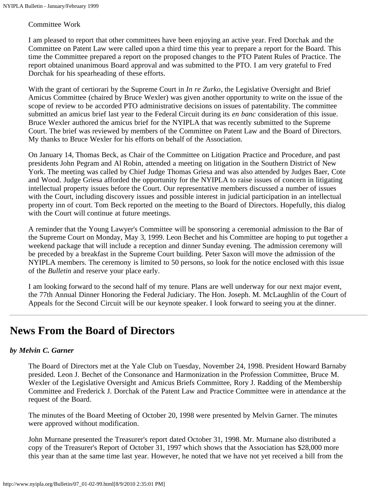#### Committee Work

I am pleased to report that other committees have been enjoying an active year. Fred Dorchak and the Committee on Patent Law were called upon a third time this year to prepare a report for the Board. This time the Committee prepared a report on the proposed changes to the PTO Patent Rules of Practice. The report obtained unanimous Board approval and was submitted to the PTO. I am very grateful to Fred Dorchak for his spearheading of these efforts.

With the grant of certiorari by the Supreme Court in *In re Zurko*, the Legislative Oversight and Brief Amicus Committee (chaired by Bruce Wexler) was given another opportunity to write on the issue of the scope of review to be accorded PTO administrative decisions on issues of patentability. The committee submitted an amicus brief last year to the Federal Circuit during its *en banc* consideration of this issue. Bruce Wexler authored the amicus brief for the NYIPLA that was recently submitted to the Supreme Court. The brief was reviewed by members of the Committee on Patent Law and the Board of Directors. My thanks to Bruce Wexler for his efforts on behalf of the Association.

On January 14, Thomas Beck, as Chair of the Committee on Litigation Practice and Procedure, and past presidents John Pegram and Al Robin, attended a meeting on litigation in the Southern District of New York. The meeting was called by Chief Judge Thomas Griesa and was also attended by Judges Baer, Cote and Wood. Judge Griesa afforded the opportunity for the NYIPLA to raise issues of concern in litigating intellectual property issues before the Court. Our representative members discussed a number of issues with the Court, including discovery issues and possible interest in judicial participation in an intellectual property inn of court. Tom Beck reported on the meeting to the Board of Directors. Hopefully, this dialog with the Court will continue at future meetings.

A reminder that the Young Lawyer's Committee will be sponsoring a ceremonial admission to the Bar of the Supreme Court on Monday, May 3, 1999. Leon Bechet and his Committee are hoping to put together a weekend package that will include a reception and dinner Sunday evening. The admission ceremony will be preceded by a breakfast in the Supreme Court building. Peter Saxon will move the admission of the NYIPLA members. The ceremony is limited to 50 persons, so look for the notice enclosed with this issue of the *Bulletin* and reserve your place early.

I am looking forward to the second half of my tenure. Plans are well underway for our next major event, the 77th Annual Dinner Honoring the Federal Judiciary. The Hon. Joseph. M. McLaughlin of the Court of Appeals for the Second Circuit will be our keynote speaker. I look forward to seeing you at the dinner.

## <span id="page-1-0"></span>**News From the Board of Directors**

### *by Melvin C. Garner*

The Board of Directors met at the Yale Club on Tuesday, November 24, 1998. President Howard Barnaby presided. Leon J. Bechet of the Consonance and Harmonization in the Profession Committee, Bruce M. Wexler of the Legislative Oversight and Amicus Briefs Committee, Rory J. Radding of the Membership Committee and Frederick J. Dorchak of the Patent Law and Practice Committee were in attendance at the request of the Board.

The minutes of the Board Meeting of October 20, 1998 were presented by Melvin Garner. The minutes were approved without modification.

John Murnane presented the Treasurer's report dated October 31, 1998. Mr. Murnane also distributed a copy of the Treasurer's Report of October 31, 1997 which shows that the Association has \$28,000 more this year than at the same time last year. However, he noted that we have not yet received a bill from the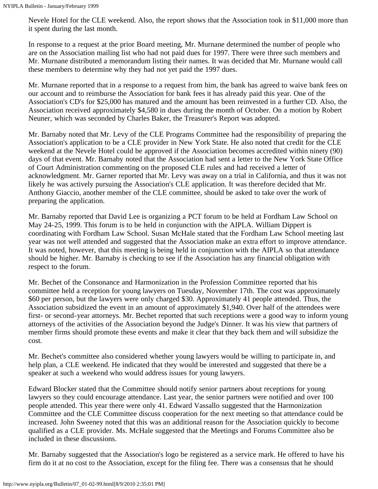Nevele Hotel for the CLE weekend. Also, the report shows that the Association took in \$11,000 more than it spent during the last month.

In response to a request at the prior Board meeting, Mr. Murnane determined the number of people who are on the Association mailing list who had not paid dues for 1997. There were three such members and Mr. Murnane distributed a memorandum listing their names. It was decided that Mr. Murnane would call these members to determine why they had not yet paid the 1997 dues.

Mr. Murnane reported that in a response to a request from him, the bank has agreed to waive bank fees on our account and to reimburse the Association for bank fees it has already paid this year. One of the Association's CD's for \$25,000 has matured and the amount has been reinvested in a further CD. Also, the Association received approximately \$4,580 in dues during the month of October. On a motion by Robert Neuner, which was seconded by Charles Baker, the Treasurer's Report was adopted.

Mr. Barnaby noted that Mr. Levy of the CLE Programs Committee had the responsibility of preparing the Association's application to be a CLE provider in New York State. He also noted that credit for the CLE weekend at the Nevele Hotel could be approved if the Association becomes accredited within ninety (90) days of that event. Mr. Barnaby noted that the Association had sent a letter to the New York State Office of Court Administration commenting on the proposed CLE rules and had received a letter of acknowledgment. Mr. Garner reported that Mr. Levy was away on a trial in California, and thus it was not likely he was actively pursuing the Association's CLE application. It was therefore decided that Mr. Anthony Giaccio, another member of the CLE committee, should be asked to take over the work of preparing the application.

Mr. Barnaby reported that David Lee is organizing a PCT forum to be held at Fordham Law School on May 24-25, 1999. This forum is to be held in conjunction with the AIPLA. William Dippert is coordinating with Fordham Law School. Susan McHale stated that the Fordham Law School meeting last year was not well attended and suggested that the Association make an extra effort to improve attendance. It was noted, however, that this meeting is being held in conjunction with the AIPLA so that attendance should be higher. Mr. Barnaby is checking to see if the Association has any financial obligation with respect to the forum.

Mr. Bechet of the Consonance and Harmonization in the Profession Committee reported that his committee held a reception for young lawyers on Tuesday, November 17th. The cost was approximately \$60 per person, but the lawyers were only charged \$30. Approximately 41 people attended. Thus, the Association subsidized the event in an amount of approximately \$1,940. Over half of the attendees were first- or second-year attorneys. Mr. Bechet reported that such receptions were a good way to inform young attorneys of the activities of the Association beyond the Judge's Dinner. It was his view that partners of member firms should promote these events and make it clear that they back them and will subsidize the cost.

Mr. Bechet's committee also considered whether young lawyers would be willing to participate in, and help plan, a CLE weekend. He indicated that they would be interested and suggested that there be a speaker at such a weekend who would address issues for young lawyers.

Edward Blocker stated that the Committee should notify senior partners about receptions for young lawyers so they could encourage attendance. Last year, the senior partners were notified and over 100 people attended. This year there were only 41. Edward Vassallo suggested that the Harmonization Committee and the CLE Committee discuss cooperation for the next meeting so that attendance could be increased. John Sweeney noted that this was an additional reason for the Association quickly to become qualified as a CLE provider. Ms. McHale suggested that the Meetings and Forums Committee also be included in these discussions.

Mr. Barnaby suggested that the Association's logo be registered as a service mark. He offered to have his firm do it at no cost to the Association, except for the filing fee. There was a consensus that he should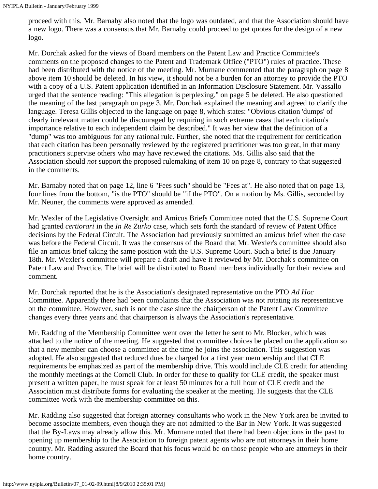proceed with this. Mr. Barnaby also noted that the logo was outdated, and that the Association should have a new logo. There was a consensus that Mr. Barnaby could proceed to get quotes for the design of a new logo.

Mr. Dorchak asked for the views of Board members on the Patent Law and Practice Committee's comments on the proposed changes to the Patent and Trademark Office ("PTO") rules of practice. These had been distributed with the notice of the meeting. Mr. Murnane commented that the paragraph on page 8 above item 10 should be deleted. In his view, it should not be a burden for an attorney to provide the PTO with a copy of a U.S. Patent application identified in an Information Disclosure Statement. Mr. Vassallo urged that the sentence reading: "This allegation is perplexing." on page 5 be deleted. He also questioned the meaning of the last paragraph on page 3. Mr. Dorchak explained the meaning and agreed to clarify the language. Teresa Gillis objected to the language on page 8, which states: "Obvious citation 'dumps' of clearly irrelevant matter could be discouraged by requiring in such extreme cases that each citation's importance relative to each independent claim be described." It was her view that the definition of a "dump" was too ambiguous for any rational rule. Further, she noted that the requirement for certification that each citation has been personally reviewed by the registered practitioner was too great, in that many practitioners supervise others who may have reviewed the citations. Ms. Gillis also said that the Association should *not* support the proposed rulemaking of item 10 on page 8, contrary to that suggested in the comments.

Mr. Barnaby noted that on page 12, line 6 "Fees such" should be "Fees at". He also noted that on page 13, four lines from the bottom, "is the PTO" should be "if the PTO". On a motion by Ms. Gillis, seconded by Mr. Neuner, the comments were approved as amended.

Mr. Wexler of the Legislative Oversight and Amicus Briefs Committee noted that the U.S. Supreme Court had granted *certiorari* in the *In Re Zurko* case, which sets forth the standard of review of Patent Office decisions by the Federal Circuit. The Association had previously submitted an amicus brief when the case was before the Federal Circuit. It was the consensus of the Board that Mr. Wexler's committee should also file an amicus brief taking the same position with the U.S. Supreme Court. Such a brief is due January 18th. Mr. Wexler's committee will prepare a draft and have it reviewed by Mr. Dorchak's committee on Patent Law and Practice. The brief will be distributed to Board members individually for their review and comment.

Mr. Dorchak reported that he is the Association's designated representative on the PTO *Ad Hoc* Committee. Apparently there had been complaints that the Association was not rotating its representative on the committee. However, such is not the case since the chairperson of the Patent Law Committee changes every three years and that chairperson is always the Association's representative.

Mr. Radding of the Membership Committee went over the letter he sent to Mr. Blocker, which was attached to the notice of the meeting. He suggested that committee choices be placed on the application so that a new member can choose a committee at the time he joins the association. This suggestion was adopted. He also suggested that reduced dues be charged for a first year membership and that CLE requirements be emphasized as part of the membership drive. This would include CLE credit for attending the monthly meetings at the Cornell Club. In order for these to qualify for CLE credit, the speaker must present a written paper, he must speak for at least 50 minutes for a full hour of CLE credit and the Association must distribute forms for evaluating the speaker at the meeting. He suggests that the CLE committee work with the membership committee on this.

Mr. Radding also suggested that foreign attorney consultants who work in the New York area be invited to become associate members, even though they are not admitted to the Bar in New York. It was suggested that the By-Laws may already allow this. Mr. Murnane noted that there had been objections in the past to opening up membership to the Association to foreign patent agents who are not attorneys in their home country. Mr. Radding assured the Board that his focus would be on those people who are attorneys in their home country.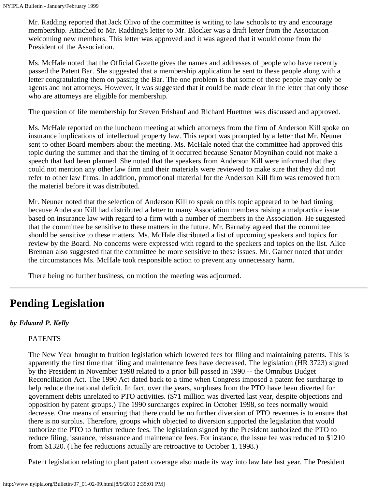Mr. Radding reported that Jack Olivo of the committee is writing to law schools to try and encourage membership. Attached to Mr. Radding's letter to Mr. Blocker was a draft letter from the Association welcoming new members. This letter was approved and it was agreed that it would come from the President of the Association.

Ms. McHale noted that the Official Gazette gives the names and addresses of people who have recently passed the Patent Bar. She suggested that a membership application be sent to these people along with a letter congratulating them on passing the Bar. The one problem is that some of these people may only be agents and not attorneys. However, it was suggested that it could be made clear in the letter that only those who are attorneys are eligible for membership.

The question of life membership for Steven Frishauf and Richard Huettner was discussed and approved.

Ms. McHale reported on the luncheon meeting at which attorneys from the firm of Anderson Kill spoke on insurance implications of intellectual property law. This report was prompted by a letter that Mr. Neuner sent to other Board members about the meeting. Ms. McHale noted that the committee had approved this topic during the summer and that the timing of it occurred because Senator Moynihan could not make a speech that had been planned. She noted that the speakers from Anderson Kill were informed that they could not mention any other law firm and their materials were reviewed to make sure that they did not refer to other law firms. In addition, promotional material for the Anderson Kill firm was removed from the material before it was distributed.

Mr. Neuner noted that the selection of Anderson Kill to speak on this topic appeared to be bad timing because Anderson Kill had distributed a letter to many Association members raising a malpractice issue based on insurance law with regard to a firm with a number of members in the Association. He suggested that the committee be sensitive to these matters in the future. Mr. Barnaby agreed that the committee should be sensitive to these matters. Ms. McHale distributed a list of upcoming speakers and topics for review by the Board. No concerns were expressed with regard to the speakers and topics on the list. Alice Brennan also suggested that the committee be more sensitive to these issues. Mr. Garner noted that under the circumstances Ms. McHale took responsible action to prevent any unnecessary harm.

There being no further business, on motion the meeting was adjourned.

# <span id="page-4-0"></span>**Pending Legislation**

#### *by Edward P. Kelly*

#### PATENTS

The New Year brought to fruition legislation which lowered fees for filing and maintaining patents. This is apparently the first time that filing and maintenance fees have decreased. The legislation (HR 3723) signed by the President in November 1998 related to a prior bill passed in 1990 -- the Omnibus Budget Reconciliation Act. The 1990 Act dated back to a time when Congress imposed a patent fee surcharge to help reduce the national deficit. In fact, over the years, surpluses from the PTO have been diverted for government debts unrelated to PTO activities. (\$71 million was diverted last year, despite objections and opposition by patent groups.) The 1990 surcharges expired in October 1998, so fees normally would decrease. One means of ensuring that there could be no further diversion of PTO revenues is to ensure that there is no surplus. Therefore, groups which objected to diversion supported the legislation that would authorize the PTO to further reduce fees. The legislation signed by the President authorized the PTO to reduce filing, issuance, reissuance and maintenance fees. For instance, the issue fee was reduced to \$1210 from \$1320. (The fee reductions actually are retroactive to October 1, 1998.)

Patent legislation relating to plant patent coverage also made its way into law late last year. The President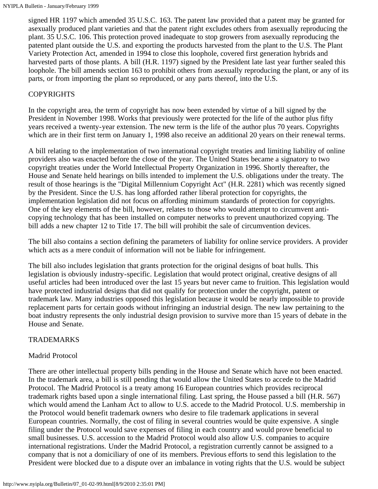signed HR 1197 which amended 35 U.S.C. 163. The patent law provided that a patent may be granted for asexually produced plant varieties and that the patent right excludes others from asexually reproducing the plant. 35 U.S.C. 106. This protection proved inadequate to stop growers from asexually reproducing the patented plant outside the U.S. and exporting the products harvested from the plant to the U.S. The Plant Variety Protection Act, amended in 1994 to close this loophole, covered first generation hybrids and harvested parts of those plants. A bill (H.R. 1197) signed by the President late last year further sealed this loophole. The bill amends section 163 to prohibit others from asexually reproducing the plant, or any of its parts, or from importing the plant so reproduced, or any parts thereof, into the U.S.

#### COPYRIGHTS

In the copyright area, the term of copyright has now been extended by virtue of a bill signed by the President in November 1998. Works that previously were protected for the life of the author plus fifty years received a twenty-year extension. The new term is the life of the author plus 70 years. Copyrights which are in their first term on January 1, 1998 also receive an additional 20 years on their renewal terms.

A bill relating to the implementation of two international copyright treaties and limiting liability of online providers also was enacted before the close of the year. The United States became a signatory to two copyright treaties under the World Intellectual Property Organization in 1996. Shortly thereafter, the House and Senate held hearings on bills intended to implement the U.S. obligations under the treaty. The result of those hearings is the "Digital Millennium Copyright Act" (H.R. 2281) which was recently signed by the President. Since the U.S. has long afforded rather liberal protection for copyrights, the implementation legislation did not focus on affording minimum standards of protection for copyrights. One of the key elements of the bill, however, relates to those who would attempt to circumvent anticopying technology that has been installed on computer networks to prevent unauthorized copying. The bill adds a new chapter 12 to Title 17. The bill will prohibit the sale of circumvention devices.

The bill also contains a section defining the parameters of liability for online service providers. A provider which acts as a mere conduit of information will not be liable for infringement.

The bill also includes legislation that grants protection for the original designs of boat hulls. This legislation is obviously industry-specific. Legislation that would protect original, creative designs of all useful articles had been introduced over the last 15 years but never came to fruition. This legislation would have protected industrial designs that did not qualify for protection under the copyright, patent or trademark law. Many industries opposed this legislation because it would be nearly impossible to provide replacement parts for certain goods without infringing an industrial design. The new law pertaining to the boat industry represents the only industrial design provision to survive more than 15 years of debate in the House and Senate.

#### TRADEMARKS

#### Madrid Protocol

There are other intellectual property bills pending in the House and Senate which have not been enacted. In the trademark area, a bill is still pending that would allow the United States to accede to the Madrid Protocol. The Madrid Protocol is a treaty among 16 European countries which provides reciprocal trademark rights based upon a single international filing. Last spring, the House passed a bill (H.R. 567) which would amend the Lanham Act to allow to U.S. accede to the Madrid Protocol. U.S. membership in the Protocol would benefit trademark owners who desire to file trademark applications in several European countries. Normally, the cost of filing in several countries would be quite expensive. A single filing under the Protocol would save expenses of filing in each country and would prove beneficial to small businesses. U.S. accession to the Madrid Protocol would also allow U.S. companies to acquire international registrations. Under the Madrid Protocol, a registration currently cannot be assigned to a company that is not a domiciliary of one of its members. Previous efforts to send this legislation to the President were blocked due to a dispute over an imbalance in voting rights that the U.S. would be subject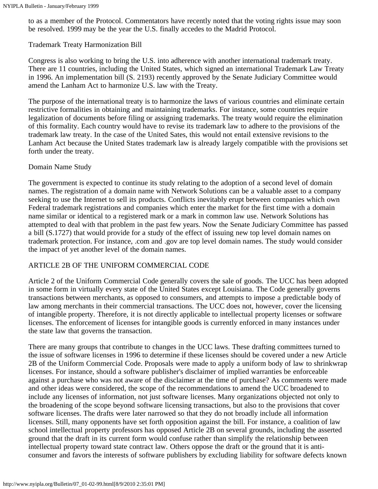to as a member of the Protocol. Commentators have recently noted that the voting rights issue may soon be resolved. 1999 may be the year the U.S. finally accedes to the Madrid Protocol.

#### Trademark Treaty Harmonization Bill

Congress is also working to bring the U.S. into adherence with another international trademark treaty. There are 11 countries, including the United States, which signed an international Trademark Law Treaty in 1996. An implementation bill (S. 2193) recently approved by the Senate Judiciary Committee would amend the Lanham Act to harmonize U.S. law with the Treaty.

The purpose of the international treaty is to harmonize the laws of various countries and eliminate certain restrictive formalities in obtaining and maintaining trademarks. For instance, some countries require legalization of documents before filing or assigning trademarks. The treaty would require the elimination of this formality. Each country would have to revise its trademark law to adhere to the provisions of the trademark law treaty. In the case of the United Sates, this would not entail extensive revisions to the Lanham Act because the United States trademark law is already largely compatible with the provisions set forth under the treaty.

#### Domain Name Study

The government is expected to continue its study relating to the adoption of a second level of domain names. The registration of a domain name with Network Solutions can be a valuable asset to a company seeking to use the Internet to sell its products. Conflicts inevitably erupt between companies which own Federal trademark registrations and companies which enter the market for the first time with a domain name similar or identical to a registered mark or a mark in common law use. Network Solutions has attempted to deal with that problem in the past few years. Now the Senate Judiciary Committee has passed a bill (S.1727) that would provide for a study of the effect of issuing new top level domain names on trademark protection. For instance, .com and .gov are top level domain names. The study would consider the impact of yet another level of the domain names.

### ARTICLE 2B OF THE UNIFORM COMMERCIAL CODE

Article 2 of the Uniform Commercial Code generally covers the sale of goods. The UCC has been adopted in some form in virtually every state of the United States except Louisiana. The Code generally governs transactions between merchants, as opposed to consumers, and attempts to impose a predictable body of law among merchants in their commercial transactions. The UCC does not, however, cover the licensing of intangible property. Therefore, it is not directly applicable to intellectual property licenses or software licenses. The enforcement of licenses for intangible goods is currently enforced in many instances under the state law that governs the transaction.

There are many groups that contribute to changes in the UCC laws. These drafting committees turned to the issue of software licenses in 1996 to determine if these licenses should be covered under a new Article 2B of the Uniform Commercial Code. Proposals were made to apply a uniform body of law to shrinkwrap licenses. For instance, should a software publisher's disclaimer of implied warranties be enforceable against a purchase who was not aware of the disclaimer at the time of purchase? As comments were made and other ideas were considered, the scope of the recommendations to amend the UCC broadened to include any licenses of information, not just software licenses. Many organizations objected not only to the broadening of the scope beyond software licensing transactions, but also to the provisions that cover software licenses. The drafts were later narrowed so that they do not broadly include all information licenses. Still, many opponents have set forth opposition against the bill. For instance, a coalition of law school intellectual property professors has opposed Article 2B on several grounds, including the asserted ground that the draft in its current form would confuse rather than simplify the relationship between intellectual property toward state contract law. Others oppose the draft or the ground that it is anticonsumer and favors the interests of software publishers by excluding liability for software defects known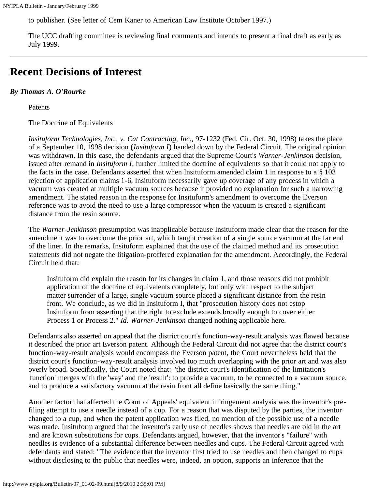to publisher. (See letter of Cem Kaner to American Law Institute October 1997.)

The UCC drafting committee is reviewing final comments and intends to present a final draft as early as July 1999.

# <span id="page-7-0"></span>**Recent Decisions of Interest**

#### *By Thomas A. O'Rourke*

Patents

The Doctrine of Equivalents

*Insituform Technologies, Inc., v. Cat Contracting, Inc.,* 97-1232 (Fed. Cir. Oct. 30, 1998) takes the place of a September 10, 1998 decision (*Insituform I*) handed down by the Federal Circuit. The original opinion was withdrawn. In this case, the defendants argued that the Supreme Court's *Warner-Jenkinson* decision, issued after remand in *Insituform I*, further limited the doctrine of equivalents so that it could not apply to the facts in the case. Defendants asserted that when Insituform amended claim 1 in response to a § 103 rejection of application claims 1-6, Insituform necessarily gave up coverage of any process in which a vacuum was created at multiple vacuum sources because it provided no explanation for such a narrowing amendment. The stated reason in the response for Insituform's amendment to overcome the Everson reference was to avoid the need to use a large compressor when the vacuum is created a significant distance from the resin source.

The *Warner-Jenkinson* presumption was inapplicable because Insituform made clear that the reason for the amendment was to overcome the prior art, which taught creation of a single source vacuum at the far end of the liner. In the remarks, Insituform explained that the use of the claimed method and its prosecution statements did not negate the litigation-proffered explanation for the amendment. Accordingly, the Federal Circuit held that:

Insituform did explain the reason for its changes in claim 1, and those reasons did not prohibit application of the doctrine of equivalents completely, but only with respect to the subject matter surrender of a large, single vacuum source placed a significant distance from the resin front. We conclude, as we did in Insituform I, that "prosecution history does not estop Insituform from asserting that the right to exclude extends broadly enough to cover either Process 1 or Process 2." *Id. Warner-Jenkinson* changed nothing applicable here.

Defendants also asserted on appeal that the district court's function-way-result analysis was flawed because it described the prior art Everson patent. Although the Federal Circuit did not agree that the district court's function-way-result analysis would encompass the Everson patent, the Court nevertheless held that the district court's function-way-result analysis involved too much overlapping with the prior art and was also overly broad. Specifically, the Court noted that: "the district court's identification of the limitation's 'function' merges with the 'way' and the 'result': to provide a vacuum, to be connected to a vacuum source, and to produce a satisfactory vacuum at the resin front all define basically the same thing."

Another factor that affected the Court of Appeals' equivalent infringement analysis was the inventor's prefiling attempt to use a needle instead of a cup. For a reason that was disputed by the parties, the inventor changed to a cup, and when the patent application was filed, no mention of the possible use of a needle was made. Insituform argued that the inventor's early use of needles shows that needles are old in the art and are known substitutions for cups. Defendants argued, however, that the inventor's "failure" with needles is evidence of a substantial difference between needles and cups. The Federal Circuit agreed with defendants and stated: "The evidence that the inventor first tried to use needles and then changed to cups without disclosing to the public that needles were, indeed, an option, supports an inference that the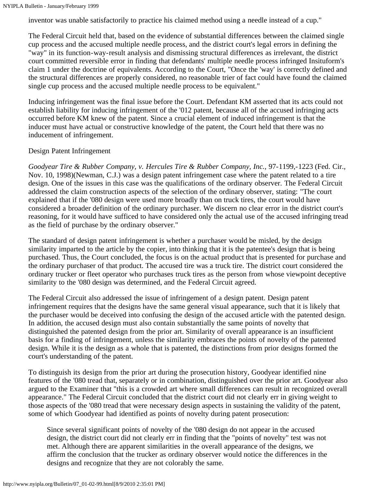inventor was unable satisfactorily to practice his claimed method using a needle instead of a cup."

The Federal Circuit held that, based on the evidence of substantial differences between the claimed single cup process and the accused multiple needle process, and the district court's legal errors in defining the "way" in its function-way-result analysis and dismissing structural differences as irrelevant, the district court committed reversible error in finding that defendants' multiple needle process infringed Insituform's claim 1 under the doctrine of equivalents. According to the Court, "Once the 'way' is correctly defined and the structural differences are properly considered, no reasonable trier of fact could have found the claimed single cup process and the accused multiple needle process to be equivalent."

Inducing infringement was the final issue before the Court. Defendant KM asserted that its acts could not establish liability for inducing infringement of the '012 patent, because all of the accused infringing acts occurred before KM knew of the patent. Since a crucial element of induced infringement is that the inducer must have actual or constructive knowledge of the patent, the Court held that there was no inducement of infringement.

#### Design Patent Infringement

*Goodyear Tire & Rubber Company, v. Hercules Tire & Rubber Company, Inc.,* 97-1199,-1223 (Fed. Cir., Nov. 10, 1998)(Newman, C.J.) was a design patent infringement case where the patent related to a tire design. One of the issues in this case was the qualifications of the ordinary observer. The Federal Circuit addressed the claim construction aspects of the selection of the ordinary observer, stating: "The court explained that if the '080 design were used more broadly than on truck tires, the court would have considered a broader definition of the ordinary purchaser. We discern no clear error in the district court's reasoning, for it would have sufficed to have considered only the actual use of the accused infringing tread as the field of purchase by the ordinary observer."

The standard of design patent infringement is whether a purchaser would be misled, by the design similarity imparted to the article by the copier, into thinking that it is the patentee's design that is being purchased. Thus, the Court concluded, the focus is on the actual product that is presented for purchase and the ordinary purchaser of that product. The accused tire was a truck tire. The district court considered the ordinary trucker or fleet operator who purchases truck tires as the person from whose viewpoint deceptive similarity to the '080 design was determined, and the Federal Circuit agreed.

The Federal Circuit also addressed the issue of infringement of a design patent. Design patent infringement requires that the designs have the same general visual appearance, such that it is likely that the purchaser would be deceived into confusing the design of the accused article with the patented design. In addition, the accused design must also contain substantially the same points of novelty that distinguished the patented design from the prior art. Similarity of overall appearance is an insufficient basis for a finding of infringement, unless the similarity embraces the points of novelty of the patented design. While it is the design as a whole that is patented, the distinctions from prior designs formed the court's understanding of the patent.

To distinguish its design from the prior art during the prosecution history, Goodyear identified nine features of the '080 tread that, separately or in combination, distinguished over the prior art. Goodyear also argued to the Examiner that "this is a crowded art where small differences can result in recognized overall appearance." The Federal Circuit concluded that the district court did not clearly err in giving weight to those aspects of the '080 tread that were necessary design aspects in sustaining the validity of the patent, some of which Goodyear had identified as points of novelty during patent prosecution:

Since several significant points of novelty of the '080 design do not appear in the accused design, the district court did not clearly err in finding that the "points of novelty" test was not met. Although there are apparent similarities in the overall appearance of the designs, we affirm the conclusion that the trucker as ordinary observer would notice the differences in the designs and recognize that they are not colorably the same.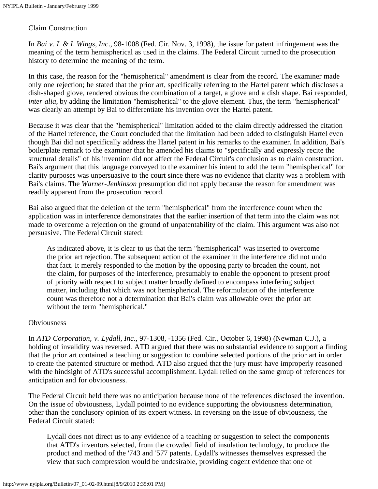#### Claim Construction

In *Bai v. L & L Wings, Inc*., 98-1008 (Fed. Cir. Nov. 3, 1998), the issue for patent infringement was the meaning of the term hemispherical as used in the claims. The Federal Circuit turned to the prosecution history to determine the meaning of the term.

In this case, the reason for the "hemispherical" amendment is clear from the record. The examiner made only one rejection; he stated that the prior art, specifically referring to the Hartel patent which discloses a dish-shaped glove, rendered obvious the combination of a target, a glove and a dish shape. Bai responded, *inter alia*, by adding the limitation "hemispherical" to the glove element. Thus, the term "hemispherical" was clearly an attempt by Bai to differentiate his invention over the Hartel patent.

Because it was clear that the "hemispherical" limitation added to the claim directly addressed the citation of the Hartel reference, the Court concluded that the limitation had been added to distinguish Hartel even though Bai did not specifically address the Hartel patent in his remarks to the examiner. In addition, Bai's boilerplate remark to the examiner that he amended his claims to "specifically and expressly recite the structural details" of his invention did not affect the Federal Circuit's conclusion as to claim construction. Bai's argument that this language conveyed to the examiner his intent to add the term "hemispherical" for clarity purposes was unpersuasive to the court since there was no evidence that clarity was a problem with Bai's claims. The *Warner-Jenkinson* presumption did not apply because the reason for amendment was readily apparent from the prosecution record.

Bai also argued that the deletion of the term "hemispherical" from the interference count when the application was in interference demonstrates that the earlier insertion of that term into the claim was not made to overcome a rejection on the ground of unpatentability of the claim. This argument was also not persuasive. The Federal Circuit stated:

As indicated above, it is clear to us that the term "hemispherical" was inserted to overcome the prior art rejection. The subsequent action of the examiner in the interference did not undo that fact. It merely responded to the motion by the opposing party to broaden the count, not the claim, for purposes of the interference, presumably to enable the opponent to present proof of priority with respect to subject matter broadly defined to encompass interfering subject matter, including that which was not hemispherical. The reformulation of the interference count was therefore not a determination that Bai's claim was allowable over the prior art without the term "hemispherical."

#### Obviousness

In *ATD Corporation, v. Lydall, Inc.,* 97-1308, -1356 (Fed. Cir., October 6, 1998) (Newman C.J.), a holding of invalidity was reversed. ATD argued that there was no substantial evidence to support a finding that the prior art contained a teaching or suggestion to combine selected portions of the prior art in order to create the patented structure or method. ATD also argued that the jury must have improperly reasoned with the hindsight of ATD's successful accomplishment. Lydall relied on the same group of references for anticipation and for obviousness.

The Federal Circuit held there was no anticipation because none of the references disclosed the invention. On the issue of obviousness, Lydall pointed to no evidence supporting the obviousness determination, other than the conclusory opinion of its expert witness. In reversing on the issue of obviousness, the Federal Circuit stated:

Lydall does not direct us to any evidence of a teaching or suggestion to select the components that ATD's inventors selected, from the crowded field of insulation technology, to produce the product and method of the '743 and '577 patents. Lydall's witnesses themselves expressed the view that such compression would be undesirable, providing cogent evidence that one of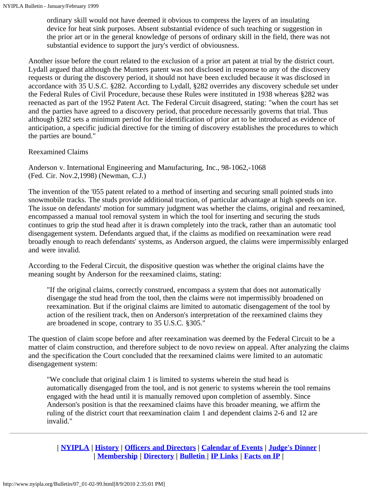ordinary skill would not have deemed it obvious to compress the layers of an insulating device for heat sink purposes. Absent substantial evidence of such teaching or suggestion in the prior art or in the general knowledge of persons of ordinary skill in the field, there was not substantial evidence to support the jury's verdict of obviousness.

Another issue before the court related to the exclusion of a prior art patent at trial by the district court. Lydall argued that although the Munters patent was not disclosed in response to any of the discovery requests or during the discovery period, it should not have been excluded because it was disclosed in accordance with 35 U.S.C. §282. According to Lydall, §282 overrides any discovery schedule set under the Federal Rules of Civil Procedure, because these Rules were instituted in 1938 whereas §282 was reenacted as part of the 1952 Patent Act. The Federal Circuit disagreed, stating: "when the court has set and the parties have agreed to a discovery period, that procedure necessarily governs that trial. Thus although §282 sets a minimum period for the identification of prior art to be introduced as evidence of anticipation, a specific judicial directive for the timing of discovery establishes the procedures to which the parties are bound."

### Reexamined Claims

Anderson v. International Engineering and Manufacturing, Inc., 98-1062,-1068 (Fed. Cir. Nov.2,1998) (Newman, C.J.)

The invention of the '055 patent related to a method of inserting and securing small pointed studs into snowmobile tracks. The studs provide additional traction, of particular advantage at high speeds on ice. The issue on defendants' motion for summary judgment was whether the claims, original and reexamined, encompassed a manual tool removal system in which the tool for inserting and securing the studs continues to grip the stud head after it is drawn completely into the track, rather than an automatic tool disengagement system. Defendants argued that, if the claims as modified on reexamination were read broadly enough to reach defendants' systems, as Anderson argued, the claims were impermissibly enlarged and were invalid.

According to the Federal Circuit, the dispositive question was whether the original claims have the meaning sought by Anderson for the reexamined claims, stating:

"If the original claims, correctly construed, encompass a system that does not automatically disengage the stud head from the tool, then the claims were not impermissibly broadened on reexamination. But if the original claims are limited to automatic disengagement of the tool by action of the resilient track, then on Anderson's interpretation of the reexamined claims they are broadened in scope, contrary to 35 U.S.C. §305."

The question of claim scope before and after reexamination was deemed by the Federal Circuit to be a matter of claim construction, and therefore subject to de novo review on appeal. After analyzing the claims and the specification the Court concluded that the reexamined claims were limited to an automatic disengagement system:

"We conclude that original claim 1 is limited to systems wherein the stud head is automatically disengaged from the tool, and is not generic to systems wherein the tool remains engaged with the head until it is manually removed upon completion of assembly. Since Anderson's position is that the reexamined claims have this broader meaning, we affirm the ruling of the district court that reexamination claim 1 and dependent claims 2-6 and 12 are invalid."

**| [NYIPLA](http://www.nyipla.org/public/01_about.html) | [History](http://www.nyipla.org/public/01_history.html) | [Officers and Directors](http://www.nyipla.org/public/02offdirs.html) | [Calendar of Events](http://www.nyipla.org/public/03_events.html) | [Judge's Dinner](http://www.nyipla.org/public/04_judgedine.html) | | [Membership](http://www.nyipla.org/public/05membership.html) | [Directory](http://www.nyipla.org/public/06directory.html) | [Bulletin](http://www.nyipla.org/Bulletin/08_index.html) | [IP Links](http://www.nyipla.org/public/09_links.html) | [Facts on IP](http://www.nyipla.org/public/10_faq.html) |**